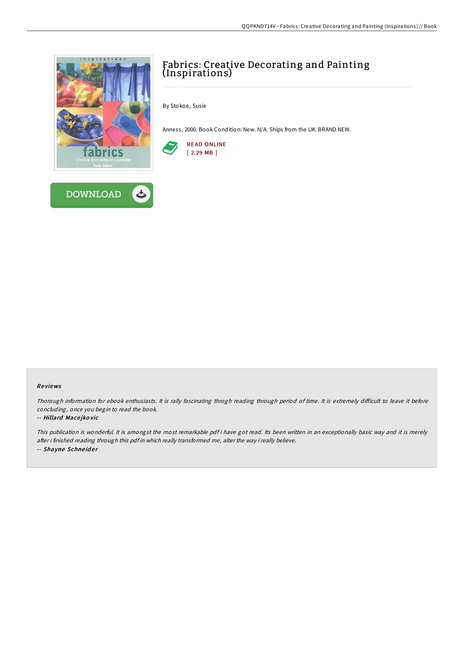

**DOWNLOAD** 

## Fabrics: Creative Decorating and Painting (Inspirations)

By Stokoe, Susie

Anness, 2000. Book Condition: New. N/A. Ships from the UK. BRAND NEW.



## Re views

Thorough information for ebook enthusiasts. It is rally fascinating throgh reading through period of time. It is extremely difficult to leave it before concluding, once you begin to read the book.

## -- Hillard Mace jko vic

This publication is wonderful. It is amongst the most remarkable pdf i have got read. Its been written in an exceptionally basic way and it is merely after i finished reading through this pdf in which really transformed me, alter the way i really believe. -- Shayne Schneider